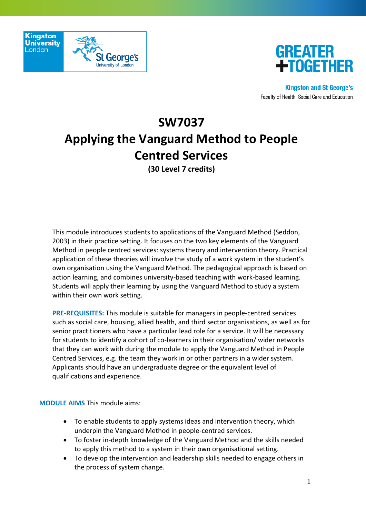



# **SW7037 Applying the Vanguard Method to People Centred Services**

**(30 Level 7 credits)**

This module introduces students to applications of the Vanguard Method (Seddon, 2003) in their practice setting. It focuses on the two key elements of the Vanguard Method in people centred services: systems theory and intervention theory. Practical application of these theories will involve the study of a work system in the student's own organisation using the Vanguard Method. The pedagogical approach is based on action learning, and combines university-based teaching with work-based learning. Students will apply their learning by using the Vanguard Method to study a system within their own work setting.

**PRE-REQUISITES:** This module is suitable for managers in people-centred services such as social care, housing, allied health, and third sector organisations, as well as for senior practitioners who have a particular lead role for a service. It will be necessary for students to identify a cohort of co-learners in their organisation/ wider networks that they can work with during the module to apply the Vanguard Method in People Centred Services, e.g. the team they work in or other partners in a wider system. Applicants should have an undergraduate degree or the equivalent level of qualifications and experience.

**MODULE AIMS** This module aims:

- To enable students to apply systems ideas and intervention theory, which underpin the Vanguard Method in people-centred services.
- To foster in-depth knowledge of the Vanguard Method and the skills needed to apply this method to a system in their own organisational setting.
- To develop the intervention and leadership skills needed to engage others in the process of system change.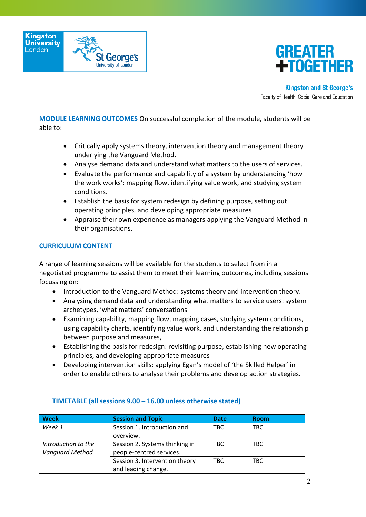



**MODULE LEARNING OUTCOMES** On successful completion of the module, students will be able to:

- Critically apply systems theory, intervention theory and management theory underlying the Vanguard Method.
- Analyse demand data and understand what matters to the users of services.
- Evaluate the performance and capability of a system by understanding 'how the work works': mapping flow, identifying value work, and studying system conditions.
- Establish the basis for system redesign by defining purpose, setting out operating principles, and developing appropriate measures
- Appraise their own experience as managers applying the Vanguard Method in their organisations.

## **CURRICULUM CONTENT**

A range of learning sessions will be available for the students to select from in a negotiated programme to assist them to meet their learning outcomes, including sessions focussing on:

- Introduction to the Vanguard Method: systems theory and intervention theory.
- Analysing demand data and understanding what matters to service users: system archetypes, 'what matters' conversations
- Examining capability, mapping flow, mapping cases, studying system conditions, using capability charts, identifying value work, and understanding the relationship between purpose and measures,
- Establishing the basis for redesign: revisiting purpose, establishing new operating principles, and developing appropriate measures
- Developing intervention skills: applying Egan's model of 'the Skilled Helper' in order to enable others to analyse their problems and develop action strategies.

| <b>Week</b>            | <b>Session and Topic</b>       | <b>Date</b> | <b>Room</b> |
|------------------------|--------------------------------|-------------|-------------|
| Week 1                 | Session 1. Introduction and    | <b>TBC</b>  | <b>TBC</b>  |
|                        | overview.                      |             |             |
| Introduction to the    | Session 2. Systems thinking in | TBC         | <b>TBC</b>  |
| <b>Vanguard Method</b> | people-centred services.       |             |             |
|                        | Session 3. Intervention theory | TBC         | <b>TBC</b>  |
|                        | and leading change.            |             |             |

# **TIMETABLE (all sessions 9.00 – 16.00 unless otherwise stated)**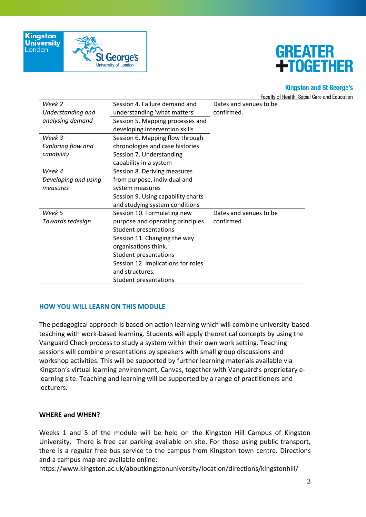



#### **Kingston and St George's**

Faculty of Health, Social Care and Education

| Week 2                    | Session 4. Failure demand and      | Dates and venues to be |
|---------------------------|------------------------------------|------------------------|
| Understanding and         | understanding 'what matters'       | confirmed.             |
| analysing demand          | Session 5. Mapping processes and   |                        |
|                           | developing intervention skills     |                        |
| Week 3                    | Session 6. Mapping flow through    |                        |
| <b>Exploring flow and</b> | chronologies and case histories    |                        |
| capability                | Session 7. Understanding           |                        |
|                           | capability in a system             |                        |
| Week 4                    | Session 8. Deriving measures       |                        |
| Developing and using      | from purpose, individual and       |                        |
| measures                  | system measures                    |                        |
|                           | Session 9. Using capability charts |                        |
|                           | and studying system conditions     |                        |
| Week 5                    | Session 10. Formulating new        | Dates and venues to be |
| Towards redesign          | purpose and operating principles.  | confirmed              |
|                           | Student presentations              |                        |
|                           | Session 11. Changing the way       |                        |
|                           | organisations think.               |                        |
|                           | Student presentations              |                        |
|                           | Session 12. Implications for roles |                        |
|                           | and structures.                    |                        |
|                           | Student presentations              |                        |

# **HOW YOU WILL LEARN ON THIS MODULE**

The pedagogical approach is based on action learning which will combine university-based teaching with work-based learning. Students will apply theoretical concepts by using the Vanguard Check process to study a system within their own work setting. Teaching sessions will combine presentations by speakers with small group discussions and workshop activities. This will be supported by further learning materials available via Kingston's virtual learning environment, Canvas, together with Vanguard's proprietary elearning site. Teaching and learning will be supported by a range of practitioners and lecturers.

#### **WHERE and WHEN?**

Weeks 1 and 5 of the module will be held on the Kingston Hill Campus of Kingston University. There is free car parking available on site. For those using public transport, there is a regular free bus service to the campus from Kingston town centre. Directions and a campus map are available online:

<https://www.kingston.ac.uk/aboutkingstonuniversity/location/directions/kingstonhill/>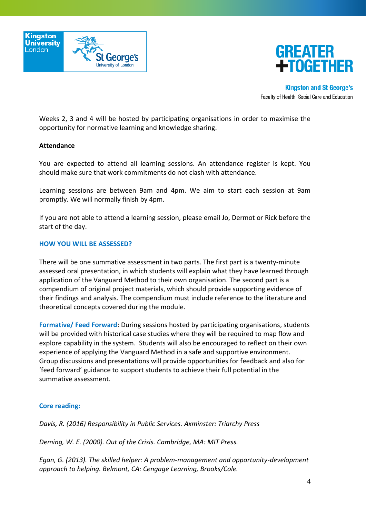



Weeks 2, 3 and 4 will be hosted by participating organisations in order to maximise the opportunity for normative learning and knowledge sharing.

#### **Attendance**

You are expected to attend all learning sessions. An attendance register is kept. You should make sure that work commitments do not clash with attendance.

Learning sessions are between 9am and 4pm. We aim to start each session at 9am promptly. We will normally finish by 4pm.

If you are not able to attend a learning session, please email Jo, Dermot or Rick before the start of the day.

## **HOW YOU WILL BE ASSESSED?**

There will be one summative assessment in two parts. The first part is a twenty-minute assessed oral presentation, in which students will explain what they have learned through application of the Vanguard Method to their own organisation. The second part is a compendium of original project materials, which should provide supporting evidence of their findings and analysis. The compendium must include reference to the literature and theoretical concepts covered during the module.

**Formative/ Feed Forward**: During sessions hosted by participating organisations, students will be provided with historical case studies where they will be required to map flow and explore capability in the system. Students will also be encouraged to reflect on their own experience of applying the Vanguard Method in a safe and supportive environment. Group discussions and presentations will provide opportunities for feedback and also for 'feed forward' guidance to support students to achieve their full potential in the summative assessment.

# **Core reading:**

*Davis, R. (2016) Responsibility in Public Services. Axminster: Triarchy Press*

*Deming, W. E. (2000). Out of the Crisis. Cambridge, MA: MIT Press.*

*Egan, G. (2013). The skilled helper: A problem-management and opportunity-development approach to helping. Belmont, CA: Cengage Learning, Brooks/Cole.*